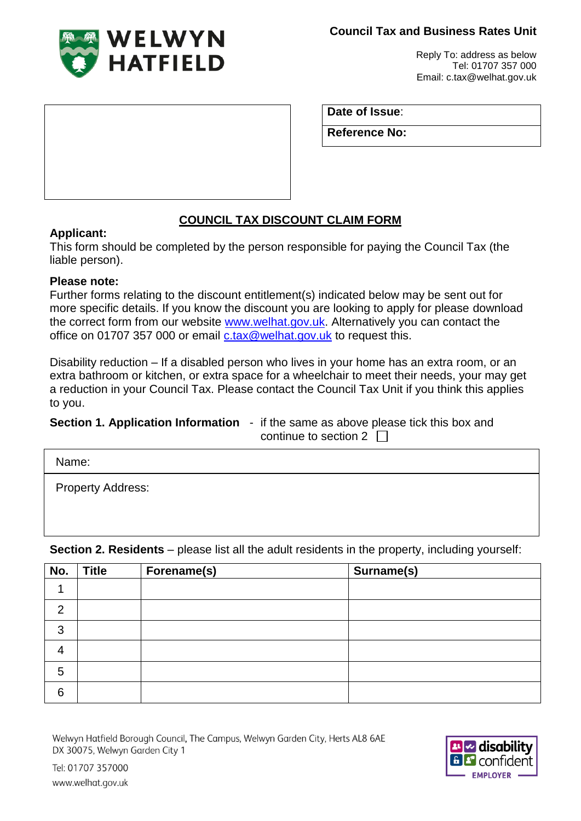**Council Tax and Business Rates Unit**



Reply To: address as below Tel: 01707 357 000 Email: c.tax@welhat.gov.uk

**Date of Issue**:

**Reference No:**

# **COUNCIL TAX DISCOUNT CLAIM FORM**

## **Applicant:**

This form should be completed by the person responsible for paying the Council Tax (the liable person).

## **Please note:**

Further forms relating to the discount entitlement(s) indicated below may be sent out for more specific details. If you know the discount you are looking to apply for please download the correct form from our website [www.welhat.gov.uk.](http://www.welhat.gov.uk/) Alternatively you can contact the office on 01707 357 000 or email [c.tax@welhat.gov.uk](mailto:c.tax@welhat.gov.uk) to request this.

Disability reduction – If a disabled person who lives in your home has an extra room, or an extra bathroom or kitchen, or extra space for a wheelchair to meet their needs, your may get a reduction in your Council Tax. Please contact the Council Tax Unit if you think this applies to you.

**Section 1. Application Information** - if the same as above please tick this box and continue to section  $2 \Box$ 

Name:

Property Address:

**Section 2. Residents** – please list all the adult residents in the property, including yourself:

| No.            | <b>Title</b> | Forename(s) | Surname(s) |
|----------------|--------------|-------------|------------|
|                |              |             |            |
| $\overline{2}$ |              |             |            |
| 3              |              |             |            |
| 4              |              |             |            |
| 5              |              |             |            |
| 6              |              |             |            |

Welwyn Hatfield Borough Council, The Campus, Welwyn Garden City, Herts AL8 6AE DX 30075, Welwyn Garden City 1



Tel: 01707 357000 www.welhat.gov.uk